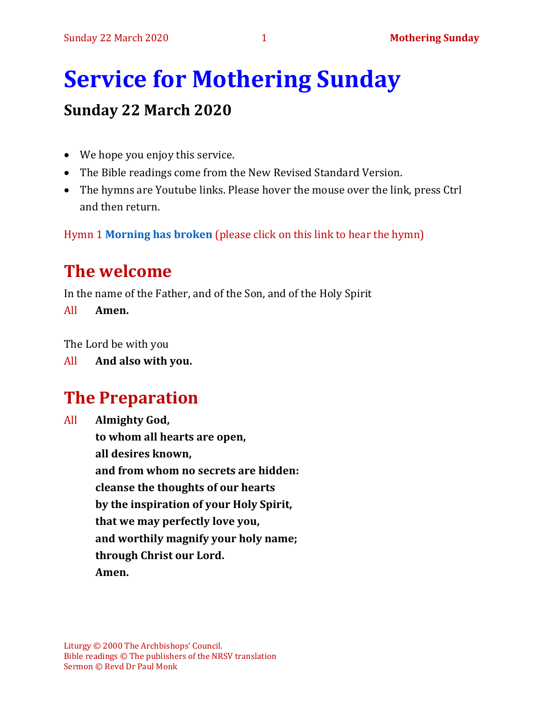# **Service for Mothering Sunday Sunday 22 March 2020**

- We hope you enjoy this service.
- The Bible readings come from the New Revised Standard Version.
- The hymns are Youtube links. Please hover the mouse over the link, press Ctrl and then return.

Hymn 1 **[Morning has broken](https://www.youtube.com/watch?v=h5D3LEjGF8A)** (please click on this link to hear the hymn)

# **The welcome**

In the name of the Father, and of the Son, and of the Holy Spirit

All **Amen.**

The Lord be with you

All **And also with you.**

# **The Preparation**

All **Almighty God, to whom all hearts are open, all desires known, and from whom no secrets are hidden: cleanse the thoughts of our hearts by the inspiration of your Holy Spirit, that we may perfectly love you, and worthily magnify your holy name; through Christ our Lord. Amen.**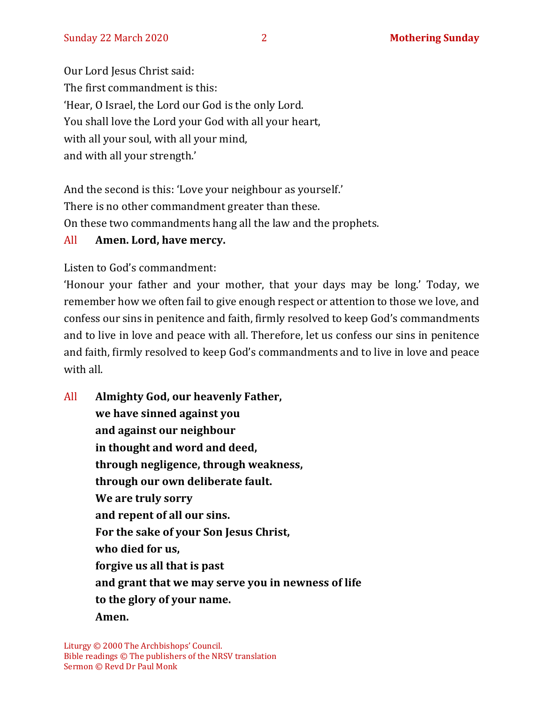Our Lord Jesus Christ said: The first commandment is this: 'Hear, O Israel, the Lord our God is the only Lord. You shall love the Lord your God with all your heart, with all your soul, with all your mind, and with all your strength.'

And the second is this: 'Love your neighbour as yourself.' There is no other commandment greater than these. On these two commandments hang all the law and the prophets.

### All **Amen. Lord, have mercy.**

Listen to God's commandment:

'Honour your father and your mother, that your days may be long.' Today, we remember how we often fail to give enough respect or attention to those we love, and confess our sins in penitence and faith, firmly resolved to keep God's commandments and to live in love and peace with all. Therefore, let us confess our sins in penitence and faith, firmly resolved to keep God's commandments and to live in love and peace with all.

All **Almighty God, our heavenly Father, we have sinned against you and against our neighbour in thought and word and deed, through negligence, through weakness, through our own deliberate fault. We are truly sorry and repent of all our sins. For the sake of your Son Jesus Christ, who died for us, forgive us all that is past and grant that we may serve you in newness of life to the glory of your name. Amen.**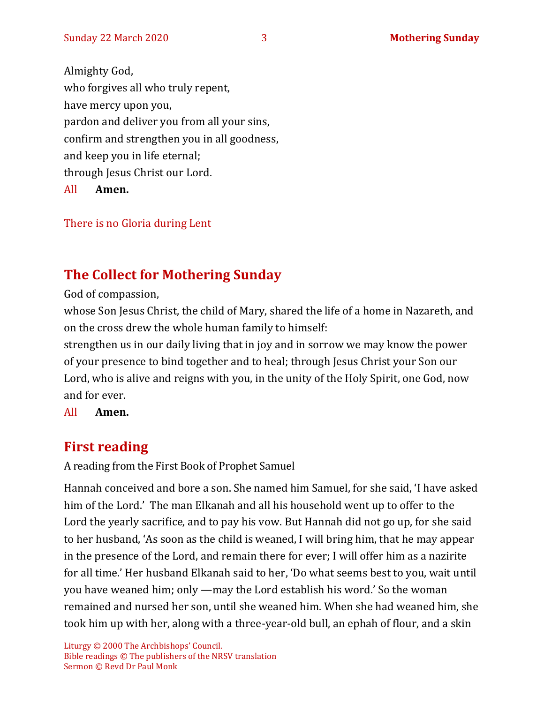Almighty God, who forgives all who truly repent, have mercy upon you, pardon and deliver you from all your sins, confirm and strengthen you in all goodness, and keep you in life eternal; through Jesus Christ our Lord. All **Amen.**

There is no Gloria during Lent

# **The Collect for Mothering Sunday**

God of compassion,

whose Son Jesus Christ, the child of Mary, shared the life of a home in Nazareth, and on the cross drew the whole human family to himself:

strengthen us in our daily living that in joy and in sorrow we may know the power of your presence to bind together and to heal; through Jesus Christ your Son our Lord, who is alive and reigns with you, in the unity of the Holy Spirit, one God, now and for ever.

All **Amen.**

### **First reading**

A reading from the First Book of Prophet Samuel

Hannah conceived and bore a son. She named him Samuel, for she said, 'I have asked him of the Lord.' The man Elkanah and all his household went up to offer to the Lord the yearly sacrifice, and to pay his vow. But Hannah did not go up, for she said to her husband, 'As soon as the child is weaned, I will bring him, that he may appear in the presence of the Lord, and remain there for ever; I will offer him as a nazirite for all time.' Her husband Elkanah said to her, 'Do what seems best to you, wait until you have weaned him; only —may the Lord establish his word.' So the woman remained and nursed her son, until she weaned him. When she had weaned him, she took him up with her, along with a three-year-old bull, an ephah of flour, and a skin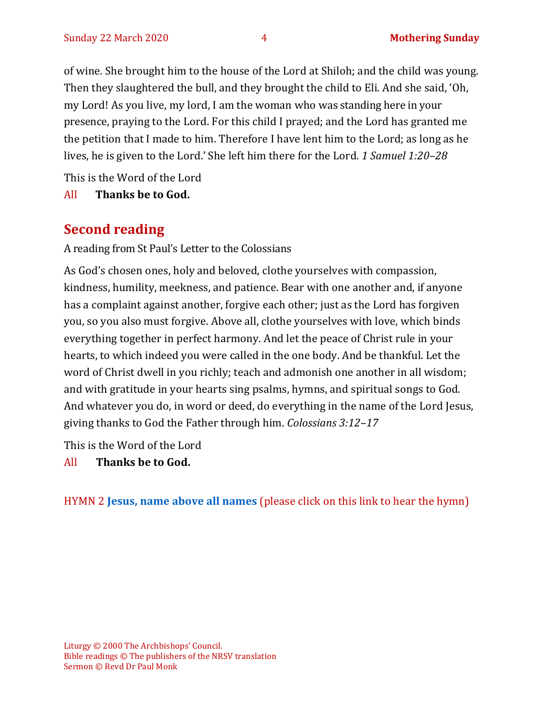of wine. She brought him to the house of the Lord at Shiloh; and the child was young. Then they slaughtered the bull, and they brought the child to Eli. And she said, 'Oh, my Lord! As you live, my lord, I am the woman who was standing here in your presence, praying to the Lord. For this child I prayed; and the Lord has granted me the petition that I made to him. Therefore I have lent him to the Lord; as long as he lives, he is given to the Lord.' She left him there for the Lord. *1 Samuel 1:20–28*

This is the Word of the Lord

All **Thanks be to God.**

## **Second reading**

A reading from St Paul's Letter to the Colossians

As God's chosen ones, holy and beloved, clothe yourselves with compassion, kindness, humility, meekness, and patience. Bear with one another and, if anyone has a complaint against another, forgive each other; just as the Lord has forgiven you, so you also must forgive. Above all, clothe yourselves with love, which binds everything together in perfect harmony. And let the peace of Christ rule in your hearts, to which indeed you were called in the one body. And be thankful. Let the word of Christ dwell in you richly; teach and admonish one another in all wisdom; and with gratitude in your hearts sing psalms, hymns, and spiritual songs to God. And whatever you do, in word or deed, do everything in the name of the Lord Jesus, giving thanks to God the Father through him. *Colossians 3:12–17*

This is the Word of the Lord

All **Thanks be to God.**

HYMN 2 **[Jesus, name above all names](https://www.youtube.com/watch?v=JEBAHFFJdW8)** (please click on this link to hear the hymn)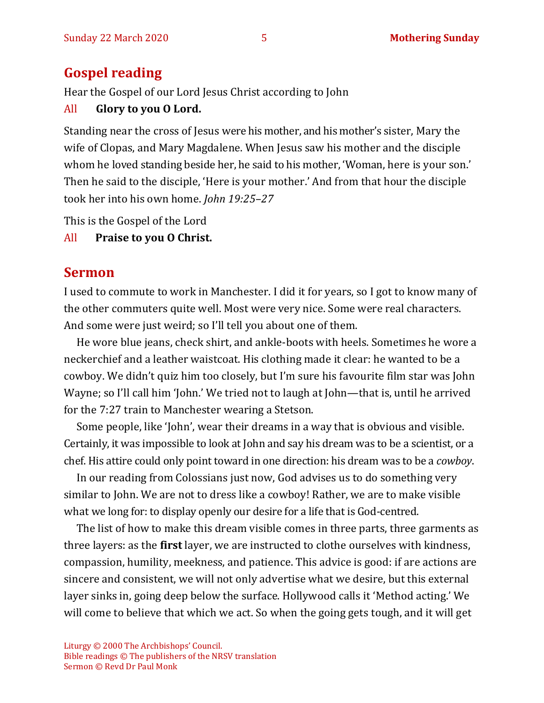## **Gospel reading**

Hear the Gospel of our Lord Jesus Christ according to John

### All **Glory to you O Lord.**

Standing near the cross of Jesus were his mother, and his mother's sister, Mary the wife of Clopas, and Mary Magdalene. When Jesus saw his mother and the disciple whom he loved standing beside her, he said to his mother, 'Woman, here is your son.' Then he said to the disciple, 'Here is your mother.' And from that hour the disciple took her into his own home. *John 19:25–27*

This is the Gospel of the Lord

All **Praise to you O Christ.** 

### **Sermon**

I used to commute to work in Manchester. I did it for years, so I got to know many of the other commuters quite well. Most were very nice. Some were real characters. And some were just weird; so I'll tell you about one of them.

He wore blue jeans, check shirt, and ankle-boots with heels. Sometimes he wore a neckerchief and a leather waistcoat. His clothing made it clear: he wanted to be a cowboy. We didn't quiz him too closely, but I'm sure his favourite film star was John Wayne; so I'll call him 'John.' We tried not to laugh at John—that is, until he arrived for the 7:27 train to Manchester wearing a Stetson.

Some people, like 'John', wear their dreams in a way that is obvious and visible. Certainly, it was impossible to look at John and say his dream was to be a scientist, or a chef. His attire could only point toward in one direction: his dream was to be a *cowboy*.

In our reading from Colossians just now, God advises us to do something very similar to John. We are not to dress like a cowboy! Rather, we are to make visible what we long for: to display openly our desire for a life that is God-centred.

The list of how to make this dream visible comes in three parts, three garments as three layers: as the **first** layer, we are instructed to clothe ourselves with kindness, compassion, humility, meekness, and patience. This advice is good: if are actions are sincere and consistent, we will not only advertise what we desire, but this external layer sinks in, going deep below the surface. Hollywood calls it 'Method acting.' We will come to believe that which we act. So when the going gets tough, and it will get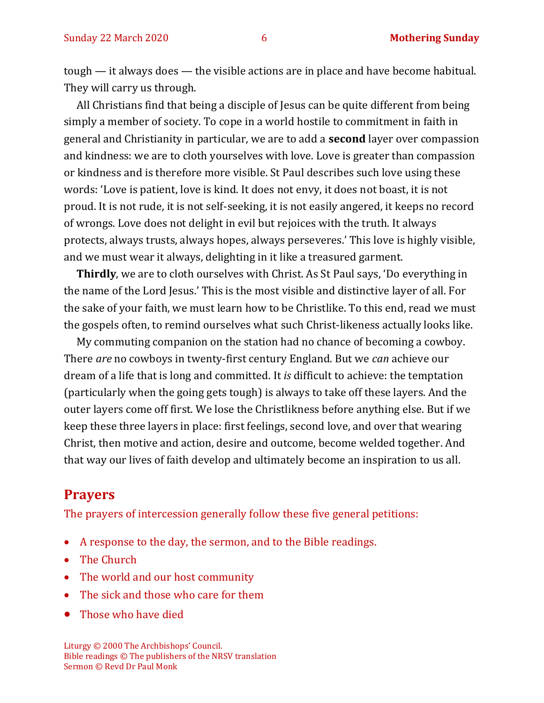tough — it always does — the visible actions are in place and have become habitual. They will carry us through.

All Christians find that being a disciple of Jesus can be quite different from being simply a member of society. To cope in a world hostile to commitment in faith in general and Christianity in particular, we are to add a **second** layer over compassion and kindness: we are to cloth yourselves with love. Love is greater than compassion or kindness and is therefore more visible. St Paul describes such love using these words: 'Love is patient, love is kind. It does not envy, it does not boast, it is not proud. It is not rude, it is not self-seeking, it is not easily angered, it keeps no record of wrongs. Love does not delight in evil but rejoices with the truth. It always protects, always trusts, always hopes, always perseveres.' This love is highly visible, and we must wear it always, delighting in it like a treasured garment.

**Thirdly**, we are to cloth ourselves with Christ. As St Paul says, 'Do everything in the name of the Lord Jesus.' This is the most visible and distinctive layer of all. For the sake of your faith, we must learn how to be Christlike. To this end, read we must the gospels often, to remind ourselves what such Christ-likeness actually looks like.

My commuting companion on the station had no chance of becoming a cowboy. There *are* no cowboys in twenty-first century England. But we *can* achieve our dream of a life that is long and committed. It *is* difficult to achieve: the temptation (particularly when the going gets tough) is always to take off these layers. And the outer layers come off first. We lose the Christlikness before anything else. But if we keep these three layers in place: first feelings, second love, and over that wearing Christ, then motive and action, desire and outcome, become welded together. And that way our lives of faith develop and ultimately become an inspiration to us all.

### **Prayers**

The prayers of intercession generally follow these five general petitions:

- A response to the day, the sermon, and to the Bible readings.
- The Church
- The world and our host community
- The sick and those who care for them
- Those who have died

Liturgy © 2000 The Archbishops' Council. Bible readings © The publishers of the NRSV translation Sermon © Revd Dr Paul Monk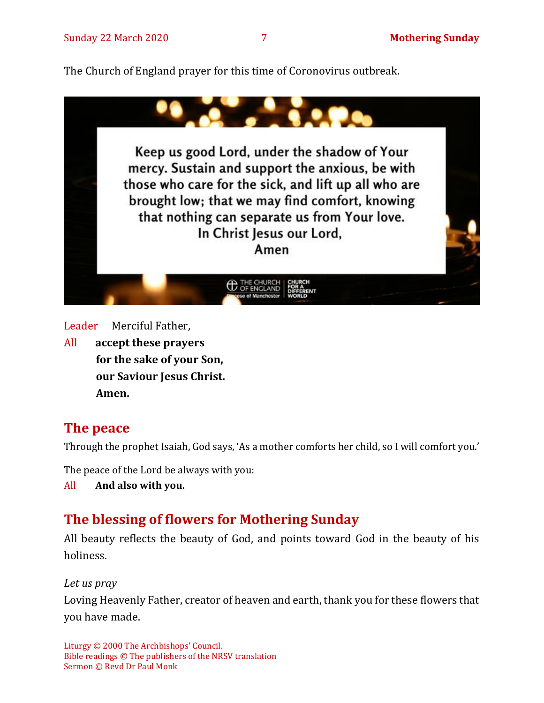The Church of England prayer for this time of Coronovirus outbreak.



Leader Merciful Father,

All **accept these prayers for the sake of your Son, our Saviour Jesus Christ. Amen.**

### **The peace**

Through the prophet Isaiah, God says, 'As a mother comforts her child, so I will comfort you.'

The peace of the Lord be always with you:

All **And also with you.**

# **The blessing of flowers for Mothering Sunday**

All beauty reflects the beauty of God, and points toward God in the beauty of his holiness.

*Let us pray*

Loving Heavenly Father, creator of heaven and earth, thank you for these flowers that you have made.

```
Liturgy © 2000 The Archbishops' Council. 
Bible readings © The publishers of the NRSV translation
Sermon © Revd Dr Paul Monk
```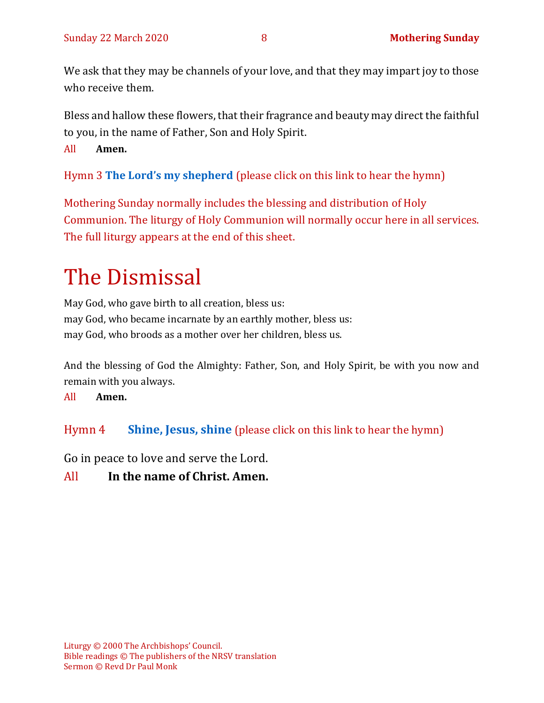We ask that they may be channels of your love, and that they may impart joy to those who receive them.

Bless and hallow these flowers, that their fragrance and beauty may direct the faithful to you, in the name of Father, Son and Holy Spirit.

All **Amen.**

Hymn 3 **[The Lord's my shepherd](https://www.youtube.com/watch?v=pN4tPkX0MG0)** (please click on this link to hear the hymn)

Mothering Sunday normally includes the blessing and distribution of Holy Communion. The liturgy of Holy Communion will normally occur here in all services. The full liturgy appears at the end of this sheet.

# The Dismissal

May God, who gave birth to all creation, bless us: may God, who became incarnate by an earthly mother, bless us: may God, who broods as a mother over her children, bless us.

And the blessing of God the Almighty: Father, Son, and Holy Spirit, be with you now and remain with you always.

All **Amen.**

Hymn 4 **[Shine, Jesus, shine](https://www.youtube.com/watch?v=J3iB30gCqAc)** (please click on this link to hear the hymn)

Go in peace to love and serve the Lord.

All **In the name of Christ. Amen.**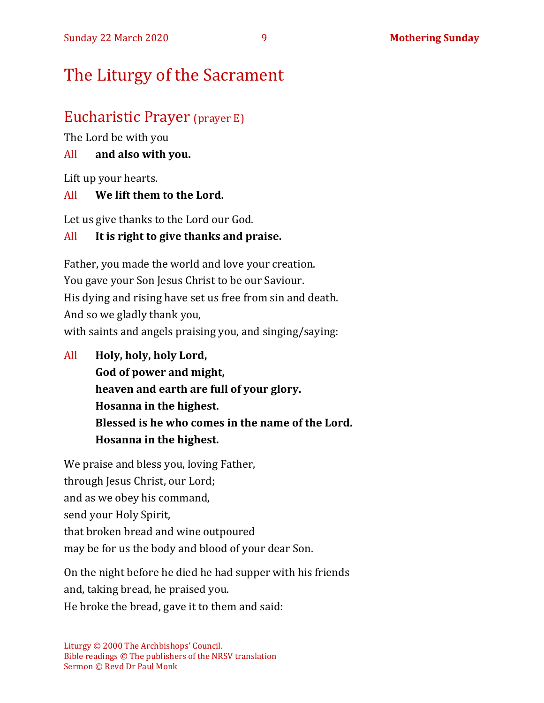# The Liturgy of the Sacrament

## Eucharistic Prayer (prayer E)

The Lord be with you

### All **and also with you.**

Lift up your hearts.

### All **We lift them to the Lord.**

Let us give thanks to the Lord our God.

### All **It is right to give thanks and praise.**

Father, you made the world and love your creation. You gave your Son Jesus Christ to be our Saviour. His dying and rising have set us free from sin and death. And so we gladly thank you, with saints and angels praising you, and singing/saying:

All **Holy, holy, holy Lord, God of power and might, heaven and earth are full of your glory. Hosanna in the highest. Blessed is he who comes in the name of the Lord. Hosanna in the highest.**

We praise and bless you, loving Father, through Jesus Christ, our Lord; and as we obey his command, send your Holy Spirit, that broken bread and wine outpoured may be for us the body and blood of your dear Son.

On the night before he died he had supper with his friends and, taking bread, he praised you.

He broke the bread, gave it to them and said: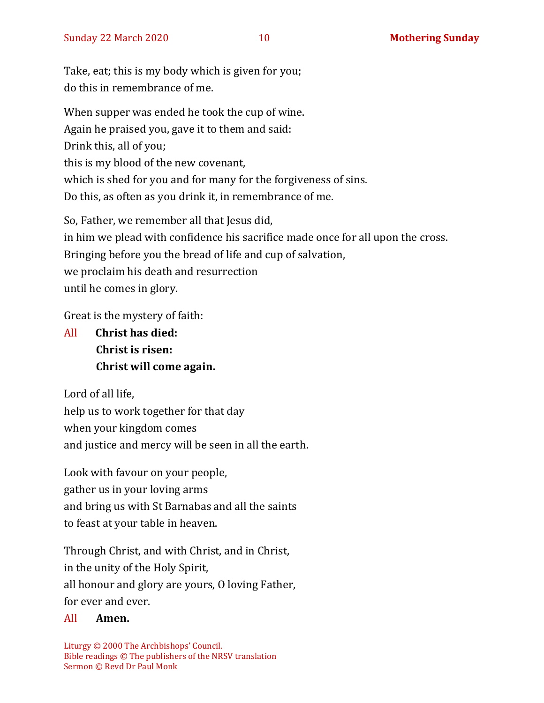Take, eat; this is my body which is given for you; do this in remembrance of me.

When supper was ended he took the cup of wine. Again he praised you, gave it to them and said: Drink this, all of you; this is my blood of the new covenant, which is shed for you and for many for the forgiveness of sins. Do this, as often as you drink it, in remembrance of me.

So, Father, we remember all that Jesus did, in him we plead with confidence his sacrifice made once for all upon the cross. Bringing before you the bread of life and cup of salvation, we proclaim his death and resurrection until he comes in glory.

Great is the mystery of faith:

All **Christ has died: Christ is risen: Christ will come again.**

Lord of all life,

help us to work together for that day when your kingdom comes and justice and mercy will be seen in all the earth.

Look with favour on your people, gather us in your loving arms and bring us with St Barnabas and all the saints to feast at your table in heaven.

Through Christ, and with Christ, and in Christ, in the unity of the Holy Spirit, all honour and glory are yours, O loving Father, for ever and ever.

#### All **Amen.**

Liturgy © 2000 The Archbishops' Council. Bible readings © The publishers of the NRSV translation Sermon © Revd Dr Paul Monk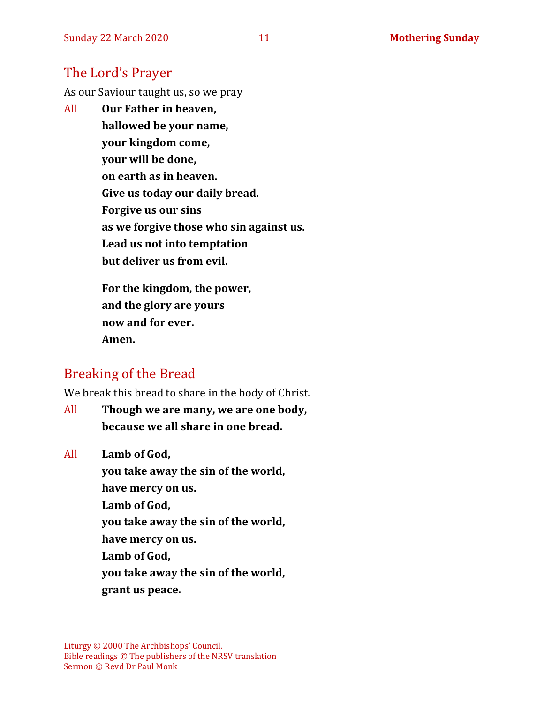### The Lord's Prayer

As our Saviour taught us, so we pray

All **Our Father in heaven, hallowed be your name, your kingdom come, your will be done, on earth as in heaven. Give us today our daily bread. Forgive us our sins as we forgive those who sin against us. Lead us not into temptation but deliver us from evil.**

> **For the kingdom, the power, and the glory are yours now and for ever. Amen.**

### Breaking of the Bread

We break this bread to share in the body of Christ.

All **Though we are many, we are one body, because we all share in one bread.**

All **Lamb of God,**

**you take away the sin of the world,**

**have mercy on us.**

**Lamb of God,** 

**you take away the sin of the world,** 

**have mercy on us.**

**Lamb of God,** 

**you take away the sin of the world,**

**grant us peace.**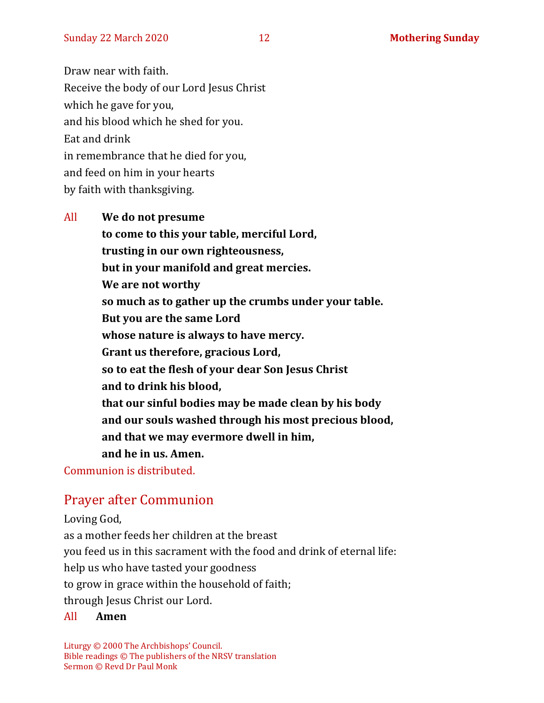Draw near with faith. Receive the body of our Lord Jesus Christ which he gave for you, and his blood which he shed for you. Eat and drink in remembrance that he died for you, and feed on him in your hearts by faith with thanksgiving.

All **We do not presume to come to this your table, merciful Lord, trusting in our own righteousness, but in your manifold and great mercies. We are not worthy so much as to gather up the crumbs under your table. But you are the same Lord whose nature is always to have mercy. Grant us therefore, gracious Lord, so to eat the flesh of your dear Son Jesus Christ and to drink his blood, that our sinful bodies may be made clean by his body and our souls washed through his most precious blood, and that we may evermore dwell in him, and he in us. Amen.**

Communion is distributed.

### Prayer after Communion

Loving God, as a mother feeds her children at the breast you feed us in this sacrament with the food and drink of eternal life: help us who have tasted your goodness to grow in grace within the household of faith; through Jesus Christ our Lord.

#### All **Amen**

Liturgy © 2000 The Archbishops' Council. Bible readings © The publishers of the NRSV translation Sermon © Revd Dr Paul Monk